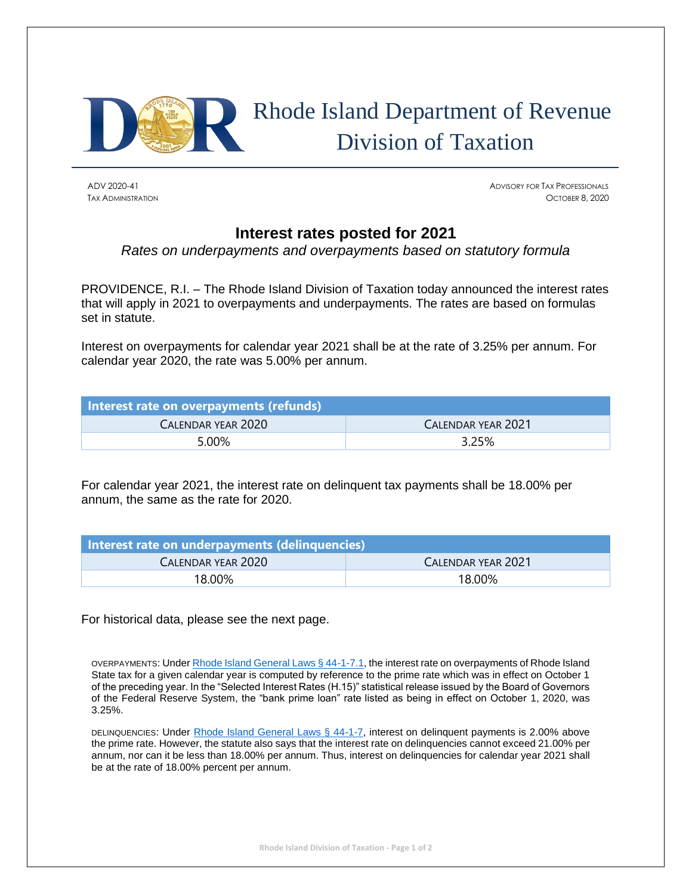

## Rhode Island Department of Revenue Division of Taxation

ADV 2020-41 ADVISORY FOR TAX PROFESSIONALS TAX ADMINISTRATION OCTOBER 8, 2020

## **Interest rates posted for 2021**

*Rates on underpayments and overpayments based on statutory formula*

PROVIDENCE, R.I. – The Rhode Island Division of Taxation today announced the interest rates that will apply in 2021 to overpayments and underpayments. The rates are based on formulas set in statute.

Interest on overpayments for calendar year 2021 shall be at the rate of 3.25% per annum. For calendar year 2020, the rate was 5.00% per annum.

| Interest rate on overpayments (refunds) |                    |
|-----------------------------------------|--------------------|
| CALENDAR YEAR 2020                      | CALENDAR YEAR 2021 |
| 5.00%                                   | 3.25%              |

For calendar year 2021, the interest rate on delinquent tax payments shall be 18.00% per annum, the same as the rate for 2020.

| Interest rate on underpayments (delinquencies) |                    |  |
|------------------------------------------------|--------------------|--|
| CALENDAR YEAR 2020                             | CALENDAR YEAR 2021 |  |
| 18.00%                                         | 18.00%             |  |

For historical data, please see the next page.

OVERPAYMENTS: Unde[r Rhode Island General Laws § 44-1-7.1,](http://webserver.rilin.state.ri.us/Statutes/TITLE44/44-1/44-1-7.1.HTM) the interest rate on overpayments of Rhode Island State tax for a given calendar year is computed by reference to the prime rate which was in effect on October 1 of the preceding year. In the "Selected Interest Rates (H.15)" statistical release issued by the Board of Governors of the Federal Reserve System, the "bank prime loan" rate listed as being in effect on October 1, 2020, was 3.25%.

DELINQUENCIES: Under [Rhode Island General Laws § 44-1-7,](http://webserver.rilin.state.ri.us/Statutes/TITLE44/44-1/44-1-7.HTM) interest on delinquent payments is 2.00% above the prime rate. However, the statute also says that the interest rate on delinquencies cannot exceed 21.00% per annum, nor can it be less than 18.00% per annum. Thus, interest on delinquencies for calendar year 2021 shall be at the rate of 18.00% percent per annum.